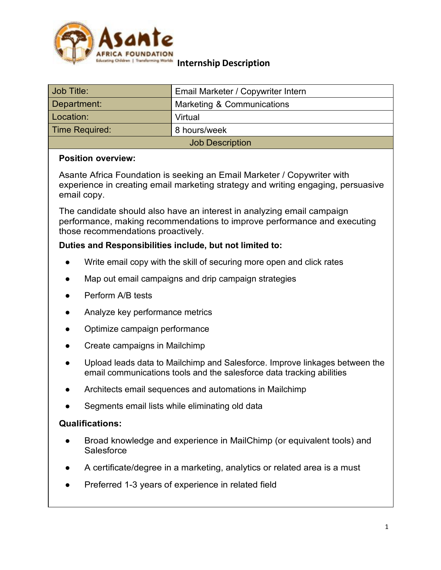

# **Internship Description**

| Job Title:             | Email Marketer / Copywriter Intern |
|------------------------|------------------------------------|
| Department:            | Marketing & Communications         |
| Location:              | Virtual                            |
| Time Required:         | 8 hours/week                       |
| <b>Job Description</b> |                                    |

#### **Position overview:**

Asante Africa Foundation is seeking an Email Marketer / Copywriter with experience in creating email marketing strategy and writing engaging, persuasive email copy.

The candidate should also have an interest in analyzing email campaign performance, making recommendations to improve performance and executing those recommendations proactively.

#### **Duties and Responsibilities include, but not limited to:**

- Write email copy with the skill of securing more open and click rates
- Map out email campaigns and drip campaign strategies
- Perform A/B tests
- Analyze key performance metrics
- Optimize campaign performance
- Create campaigns in Mailchimp
- Upload leads data to Mailchimp and Salesforce. Improve linkages between the email communications tools and the salesforce data tracking abilities
- Architects email sequences and automations in Mailchimp
- Segments email lists while eliminating old data

#### **Qualifications:**

- Broad knowledge and experience in MailChimp (or equivalent tools) and **Salesforce**
- A certificate/degree in a marketing, analytics or related area is a must
- Preferred 1-3 years of experience in related field